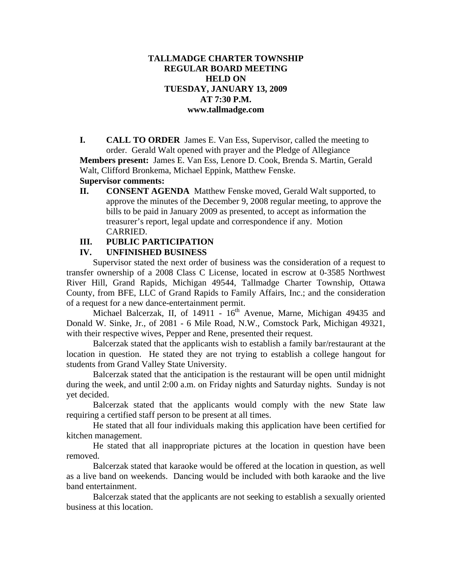## **TALLMADGE CHARTER TOWNSHIP REGULAR BOARD MEETING HELD ON TUESDAY, JANUARY 13, 2009 AT 7:30 P.M. www.tallmadge.com**

**I. CALL TO ORDER** James E. Van Ess, Supervisor, called the meeting to order. Gerald Walt opened with prayer and the Pledge of Allegiance **Members present:** James E. Van Ess, Lenore D. Cook, Brenda S. Martin, Gerald Walt, Clifford Bronkema, Michael Eppink, Matthew Fenske.

#### **Supervisor comments:**

**II. CONSENT AGENDA** Matthew Fenske moved, Gerald Walt supported, to approve the minutes of the December 9, 2008 regular meeting, to approve the bills to be paid in January 2009 as presented, to accept as information the treasurer's report, legal update and correspondence if any. Motion CARRIED.

#### **III. PUBLIC PARTICIPATION**

## **IV. UNFINISHED BUSINESS**

Supervisor stated the next order of business was the consideration of a request to transfer ownership of a 2008 Class C License, located in escrow at 0-3585 Northwest River Hill, Grand Rapids, Michigan 49544, Tallmadge Charter Township, Ottawa County, from BFE, LLC of Grand Rapids to Family Affairs, Inc.; and the consideration of a request for a new dance-entertainment permit.

Michael Balcerzak, II, of  $14911 - 16<sup>th</sup>$  Avenue, Marne, Michigan 49435 and Donald W. Sinke, Jr., of 2081 - 6 Mile Road, N.W., Comstock Park, Michigan 49321, with their respective wives, Pepper and Rene, presented their request.

Balcerzak stated that the applicants wish to establish a family bar/restaurant at the location in question. He stated they are not trying to establish a college hangout for students from Grand Valley State University.

Balcerzak stated that the anticipation is the restaurant will be open until midnight during the week, and until 2:00 a.m. on Friday nights and Saturday nights. Sunday is not yet decided.

Balcerzak stated that the applicants would comply with the new State law requiring a certified staff person to be present at all times.

He stated that all four individuals making this application have been certified for kitchen management.

He stated that all inappropriate pictures at the location in question have been removed.

Balcerzak stated that karaoke would be offered at the location in question, as well as a live band on weekends. Dancing would be included with both karaoke and the live band entertainment.

Balcerzak stated that the applicants are not seeking to establish a sexually oriented business at this location.